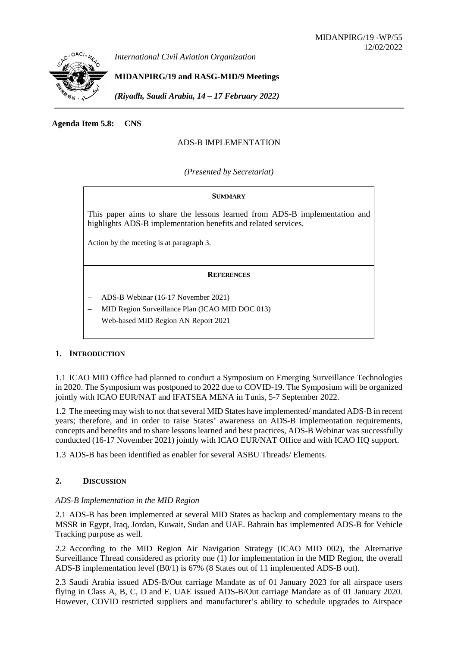

*International Civil Aviation Organization*

# **MIDANPIRG/19 and RASG-MID/9 Meetings**

*(Riyadh, Saudi Arabia, 14 – 17 February 2022)*

**Agenda Item 5.8: CNS**

# ADS-B IMPLEMENTATION

*(Presented by Secretariat)*

#### **SUMMARY**

This paper aims to share the lessons learned from ADS-B implementation and highlights ADS-B implementation benefits and related services.

Action by the meeting is at paragraph 3.

#### **REFERENCES**

- − ADS-B Webinar (16-17 November 2021)
- − MID Region Surveillance Plan (ICAO MID DOC 013)
- − Web-based MID Region AN Report 2021

## **1. INTRODUCTION**

1.1 ICAO MID Office had planned to conduct a Symposium on Emerging Surveillance Technologies in 2020. The Symposium was postponed to 2022 due to COVID-19. The Symposium will be organized jointly with ICAO EUR/NAT and IFATSEA MENA in Tunis, 5-7 September 2022.

1.2 The meeting may wish to not that several MID States have implemented/ mandated ADS-B in recent years; therefore, and in order to raise States' awareness on ADS-B implementation requirements, concepts and benefits and to share lessons learned and best practices, ADS-B Webinar was successfully conducted (16-17 November 2021) jointly with ICAO EUR/NAT Office and with ICAO HQ support.

1.3 ADS-B has been identified as enabler for several ASBU Threads/ Elements.

## **2. DISCUSSION**

## *ADS-B Implementation in the MID Region*

2.1 ADS-B has been implemented at several MID States as backup and complementary means to the MSSR in Egypt, Iraq, Jordan, Kuwait, Sudan and UAE. Bahrain has implemented ADS-B for Vehicle Tracking purpose as well.

2.2 According to the MID Region Air Navigation Strategy (ICAO MID 002), the Alternative Surveillance Thread considered as priority one (1) for implementation in the MID Region, the overall ADS-B implementation level (B0/1) is 67% (8 States out of 11 implemented ADS-B out).

2.3 Saudi Arabia issued ADS-B/Out carriage Mandate as of 01 January 2023 for all airspace users flying in Class A, B, C, D and E. UAE issued ADS-B/Out carriage Mandate as of 01 January 2020. However, COVID restricted suppliers and manufacturer's ability to schedule upgrades to Airspace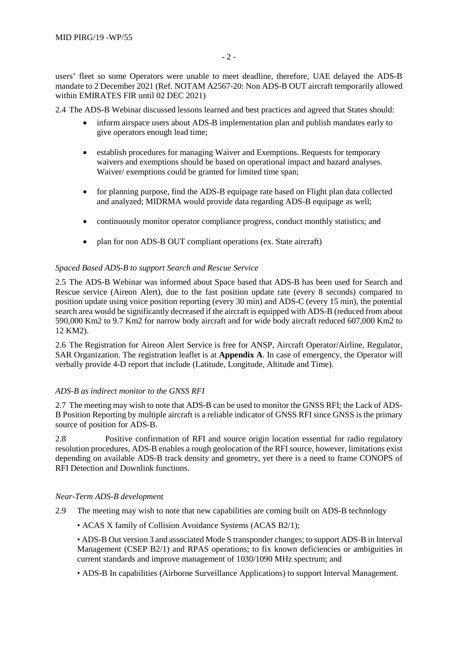users' fleet so some Operators were unable to meet deadline, therefore, UAE delayed the ADS-B mandate to 2 December 2021 (Ref. NOTAM A2567-20: Non ADS-B OUT aircraft temporarily allowed within EMIRATES FIR until 02 DEC 2021)

2.4 The ADS-B Webinar discussed lessons learned and best practices and agreed that States should:

- inform airspace users about ADS-B implementation plan and publish mandates early to give operators enough lead time;
- establish procedures for managing Waiver and Exemptions. Requests for temporary waivers and exemptions should be based on operational impact and hazard analyses. Waiver/ exemptions could be granted for limited time span;
- for planning purpose, find the ADS-B equipage rate based on Flight plan data collected and analyzed; MIDRMA would provide data regarding ADS-B equipage as well;
- continuously monitor operator compliance progress, conduct monthly statistics; and
- plan for non ADS-B OUT compliant operations (ex. State aircraft)

#### *Spaced Based ADS-B to support Search and Rescue Service*

2.5 The ADS-B Webinar was informed about Space based that ADS-B has been used for Search and Rescue service (Aireon Alert), due to the fast position update rate (every 8 seconds) compared to position update using voice position reporting (every 30 min) and ADS-C (every 15 min), the potential search area would be significantly decreased if the aircraft is equipped with ADS-B (reduced from about 590,000 Km2 to 9.7 Km2 for narrow body aircraft and for wide body aircraft reduced 607,000 Km2 to 12 KM2).

2.6 The Registration for Aireon Alert Service is free for ANSP, Aircraft Operator/Airline, Regulator, SAR Organization. The registration leaflet is at **Appendix A**. In case of emergency, the Operator will verbally provide 4-D report that include (Latitude, Longitude, Altitude and Time).

## *ADS-B as indirect monitor to the GNSS RFI*

2.7 The meeting may wish to note that ADS-B can be used to monitor the GNSS RFI; the Lack of ADS-B Position Reporting by multiple aircraft is a reliable indicator of GNSS RFI since GNSS is the primary source of position for ADS-B.

2.8 Positive confirmation of RFI and source origin location essential for radio regulatory resolution procedures, ADS-B enables a rough geolocation of the RFI source, however, limitations exist depending on available ADS-B track density and geometry, yet there is a need to frame CONOPS of RFI Detection and Downlink functions.

#### *Near-Term ADS-B development*

- 2.9 The meeting may wish to note that new capabilities are coming built on ADS-B technology
	- ACAS X family of Collision Avoidance Systems (ACAS B2/1);

• ADS-B Out version 3 and associated Mode S transponder changes; to support ADS-B in Interval Management (CSEP B2/1) and RPAS operations; to fix known deficiencies or ambiguities in current standards and improve management of 1030/1090 MHz spectrum; and

• ADS-B In capabilities (Airborne Surveillance Applications) to support Interval Management.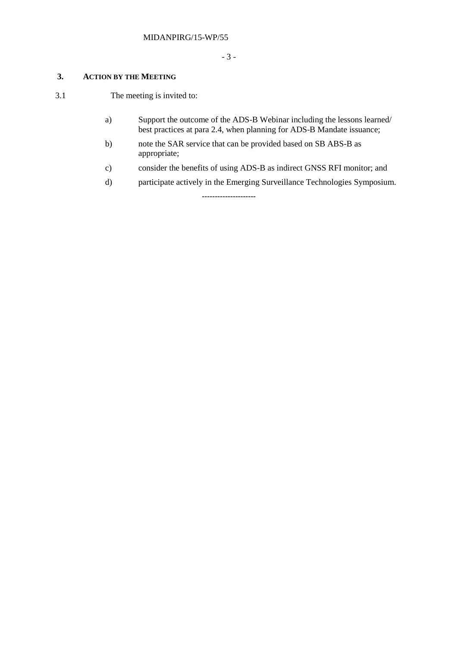# **3. ACTION BY THE MEETING**

3.1 The meeting is invited to:

- a) Support the outcome of the ADS-B Webinar including the lessons learned/ best practices at para 2.4, when planning for ADS-B Mandate issuance;
- b) note the SAR service that can be provided based on SB ABS-B as appropriate;
- c) consider the benefits of using ADS-B as indirect GNSS RFI monitor; and
- d) participate actively in the Emerging Surveillance Technologies Symposium.

**---------------------**